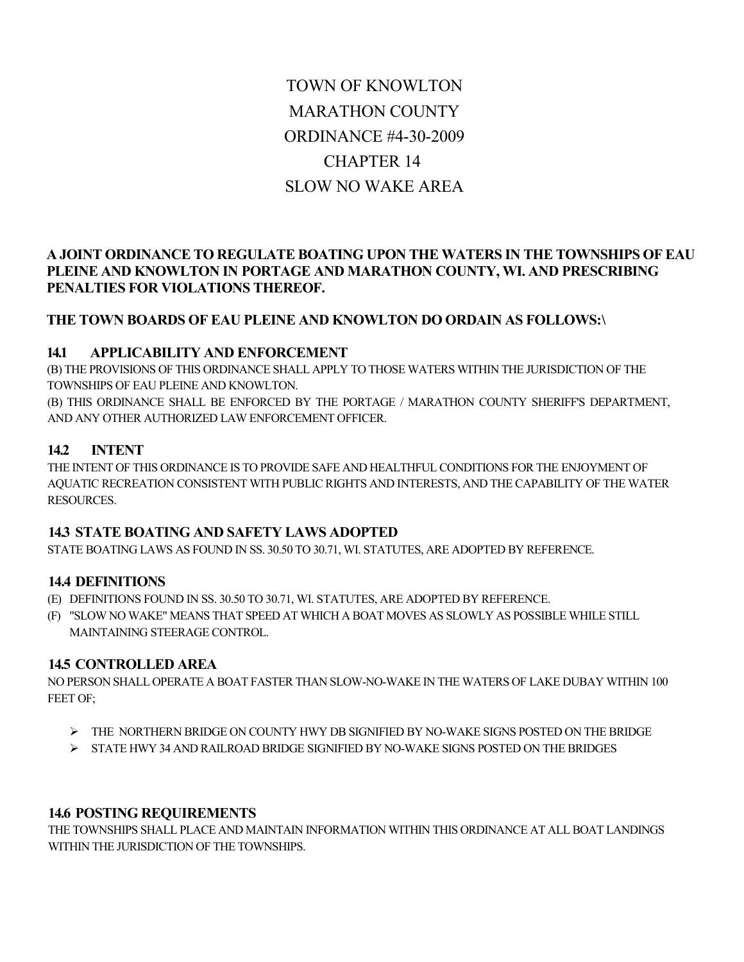# TOWN OF KNOWLTON MARATHON COUNTY ORDINANCE #4-30-2009 CHAPTER 14 SLOW NO WAKE AREA

# **A JOINT ORDINANCE TO REGULATE BOATING UPON THE WATERS IN THE TOWNSHIPS OF EAU PLEINE AND KNOWLTON IN PORTAGE AND MARATHON COUNTY, WI. AND PRESCRIBING PENALTIES FOR VIOLATIONS THEREOF.**

## **THE TOWN BOARDS OF EAU PLEINE AND KNOWLTON DO ORDAIN AS FOLLOWS:\**

#### **14.1 APPLICABILITY AND ENFORCEMENT**

(B) THE PROVISIONS OF THIS ORDINANCE SHALL APPLY TO THOSE WATERS WITHIN THE JURISDICTION OF THE TOWNSHIPS OF EAU PLEINE AND KNOWLTON.

(B) THIS ORDINANCE SHALL BE ENFORCED BY THE PORTAGE / MARATHON COUNTY SHERIFF'S DEPARTMENT, AND ANY OTHER AUTHORIZED LAW ENFORCEMENT OFFICER.

## **14.2 INTENT**

THE INTENT OF THIS ORDINANCE IS TO PROVIDE SAFE AND HEALTHFUL CONDITIONS FOR THE ENJOYMENT OF AQUATIC RECREATION CONSISTENT WITH PUBLIC RIGHTS AND INTERESTS, AND THE CAPABILITY OF THE WATER RESOURCES.

#### **14.3 STATE BOATING AND SAFETY LAWS ADOPTED**

STATE BOATING LAWS AS FOUND IN SS. 30.50 TO 30.71, WI. STATUTES, ARE ADOPTED BY REFERENCE.

#### **14.4 DEFINITIONS**

(E) DEFINITIONS FOUND IN SS. 30.50 TO 30.71, WI. STATUTES, ARE ADOPTED BY REFERENCE.

(F) "SLOW NO WAKE" MEANS THAT SPEED AT WHICH A BOAT MOVES AS SLOWLY AS POSSIBLE WHILE STILL MAINTAINING STEERAGE CONTROL.

#### **14.5 CONTROLLED AREA**

NO PERSON SHALL OPERATE A BOAT FASTER THAN SLOW-NO-WAKE IN THE WATERS OF LAKE DUBAY WITHIN 100 FEET OF;

- THE NORTHERN BRIDGE ON COUNTY HWY DB SIGNIFIED BY NO-WAKE SIGNS POSTED ON THE BRIDGE
- STATE HWY 34 AND RAILROAD BRIDGE SIGNIFIED BY NO-WAKE SIGNS POSTED ON THE BRIDGES

#### **14.6 POSTING REQUIREMENTS**

THE TOWNSHIPS SHALL PLACE AND MAINTAIN INFORMATION WITHIN THIS ORDINANCE AT ALL BOAT LANDINGS WITHIN THE JURISDICTION OF THE TOWNSHIPS.